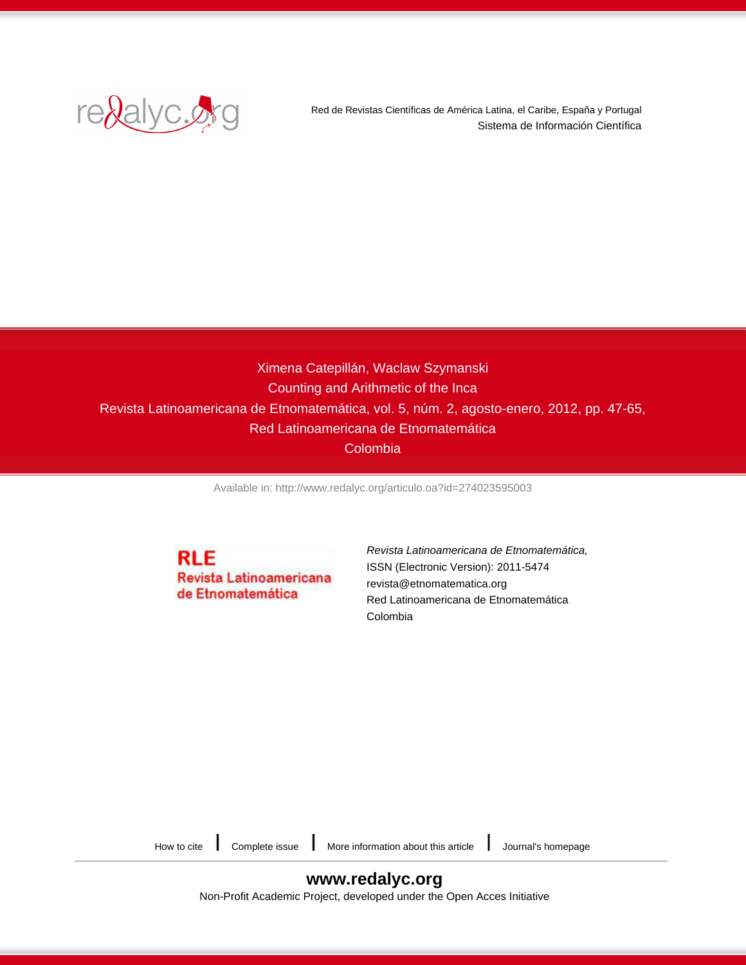

Red de Revistas Científicas de América Latina, el Caribe, España y Portugal Sistema de Información Científica

# Ximena Catepillán, Waclaw Szymanski Counting and Arithmetic of the Inca Revista Latinoamericana de Etnomatemática, vol. 5, núm. 2, agosto-enero, 2012, pp. 47-65, Red Latinoamericana de Etnomatemática Colombia

[Available in: http://www.redalyc.org/articulo.oa?id=274023595003](http://www.redalyc.org/articulo.oa?id=274023595003)

**RLE** Revista Latinoamericana de Etnomatemática

[Revista Latinoamericana de Etnomatemática,](http://www.redalyc.org/revista.oa?id=2740) ISSN (Electronic Version): 2011-5474 revista@etnomatematica.org Red Latinoamericana de Etnomatemática Colombia

[How to cite](http://www.redalyc.org/comocitar.oa?id=274023595003)  $\parallel$  [Complete issue](http://www.redalyc.org/fasciculo.oa?id=2740&numero=23595)  $\parallel$  [More information about this article](http://www.redalyc.org/articulo.oa?id=274023595003)  $\parallel$  [Journal's homepage](http://www.redalyc.org/revista.oa?id=2740)

# **[www.redalyc.org](http://www.redalyc.org/revista.oa?id=2740)**

Non-Profit Academic Project, developed under the Open Acces Initiative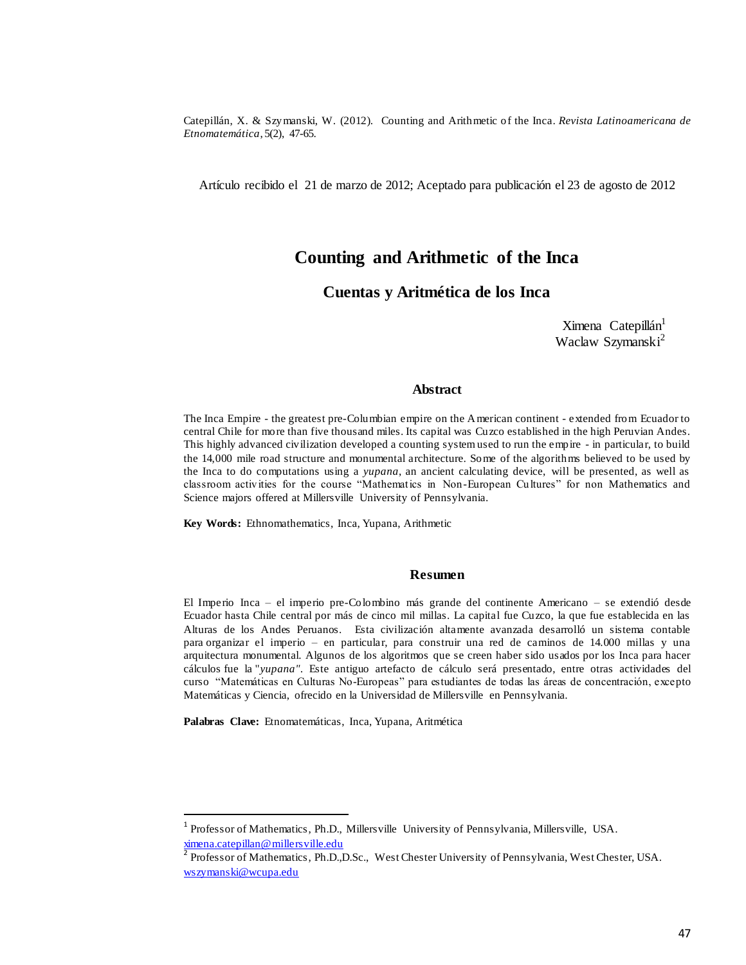Artículo recibido el 21 de marzo de 2012; Aceptado para publicación el 23 de agosto de 2012

# Counting and Arithmetic of the Inca

### Cuentas y Aritmética de los Inca

Ximena Catepillán<sup>1</sup> Waclaw Szymanski<sup>2</sup>

#### **Abstract**

The Inca Empire - the greatest pre-Columbian empire on the American continent - extended from Ecuador to central Chile for more than five thousand miles. Its capital was Cuzco established in the high Peruvian Andes. This highly advanced civilization developed a counting system used to run the empire - in particular, to build the 14,000 mile road structure and monumental architecture. Some of the algorithms believed to be used by the Inca to do computations using a *yupana*, an ancient calculating device, will be presented, as well as classroom activities for the course "Mathematics in Non-European Cultures" for non Mathematics and Science majors offered at Millersville University of Pennsylvania.

Key Words: Ethnomathematics, Inca, Yupana, Arithmetic

#### **Resumen**

El Imperio Inca - el imperio pre-Colombino más grande del continente Americano - se extendió desde Ecuador hasta Chile central por más de cinco mil millas. La capital fue Cuzco, la que fue establecida en las Alturas de los Andes Peruanos. Esta civilización altamente avanzada desarrolló un sistema contable para organizar el imperio - en particular, para construir una red de caminos de 14.000 millas y una arquitectura monumental. Algunos de los algoritmos que se creen haber sido usados por los Inca para hacer cálculos fue la "vupana". Este antiguo artefacto de cálculo será presentado, entre otras actividades del curso "Matemáticas en Culturas No-Europeas" para estudiantes de todas las áreas de concentración, excepto Matemáticas y Ciencia, ofrecido en la Universidad de Millersville en Pennsylvania.

Palabras Clave: Etnomatemáticas, Inca, Yupana, Aritmética

<sup>&</sup>lt;sup>1</sup> Professor of Mathematics, Ph.D., Millersville University of Pennsylvania, Millersville, USA.  $x = 0.111$ ,<br> $y = 0.111$ ,<br> $z = 0.111$ ,<br> $z = 0.111$ ,<br> $z = 0.111$ ,<br> $z = 0.111$ ,<br> $z = 0.111$ ,<br> $z = 0.111$ ,<br> $z = 0.111$ ,<br> $z = 0.111$ ,<br> $z = 0.111$ ,<br> $z = 0.111$ ,<br> $z = 0.111$ ,<br> $z = 0.111$ ,<br> $z = 0.111$ ,<br> $z = 0.111$ ,<br> $z = 0.111$ ,<br> $z = 0.111$ ,<br> $z = 0$ 

Professor of Mathematics, Ph.D., D.Sc., West Chester University of Pennsylvania, West Chester, USA. wszymanski@wcupa.edu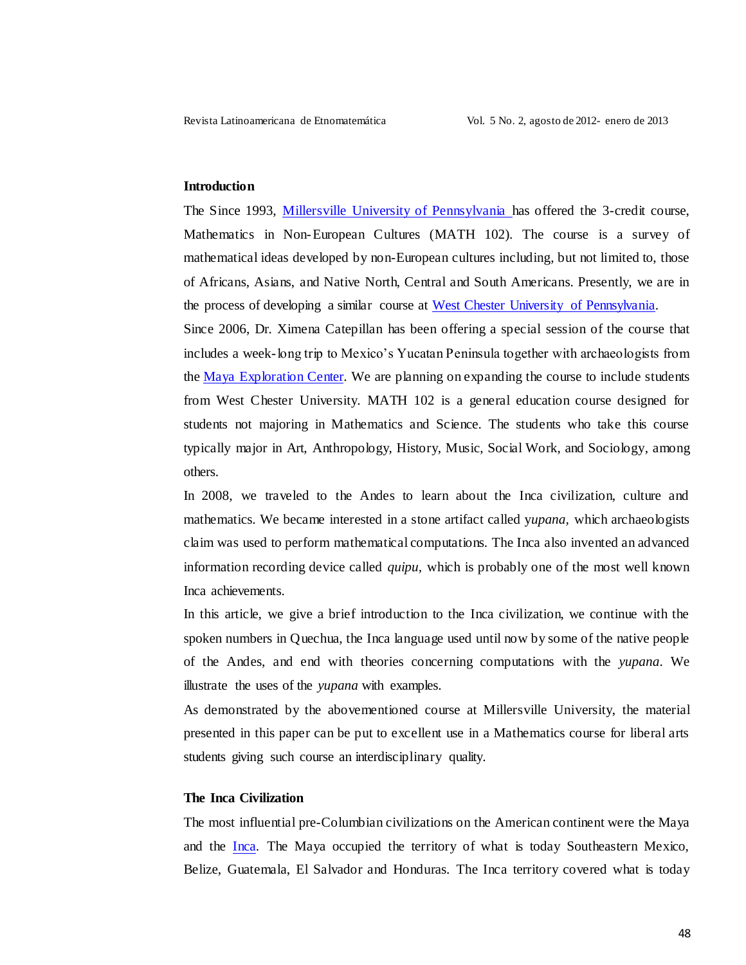#### **Introduction**

The Since 1993, Millersville University of Pennsylvania has offered the 3-credit course, Mathematics in Non-European Cultures (MATH 102). The course is a survey of mathematical ideas developed by non-European cultures including, but not limited to, those of Africans, Asians, and Native North, Central and South Americans. Presently, we are in the process of developing a similar course at West Chester University of Pennsylvania.

Since 2006, Dr. Ximena Catepillan has been offering a special session of the course that includes a week-long trip to Mexico's Yucatan Peninsula together with archaeologists from the Maya Exploration Center. We are planning on expanding the course to include students from West Chester University. MATH 102 is a general education course designed for students not majoring in Mathematics and Science. The students who take this course typically major in Art, Anthropology, History, Music, Social Work, and Sociology, among others.

In 2008, we traveled to the Andes to learn about the Inca civilization, culture and mathematics. We became interested in a stone artifact called *yupana*, which archaeologists claim was used to perform mathematical computations. The Inca also invented an advanced information recording device called *quipu*, which is probably one of the most well known Inca achievements.

In this article, we give a brief introduction to the Inca civilization, we continue with the spoken numbers in Quechua, the Inca language used until now by some of the native people of the Andes, and end with theories concerning computations with the *yupana*. We illustrate the uses of the *yupana* with examples.

As demonstrated by the abovementioned course at Millersville University, the material presented in this paper can be put to excellent use in a Mathematics course for liberal arts students giving such course an interdisciplinary quality.

### The Inca Civilization

The most influential pre-Columbian civilizations on the American continent were the Maya and the Inca. The Maya occupied the territory of what is today Southeastern Mexico, Belize, Guatemala, El Salvador and Honduras. The Inca territory covered what is today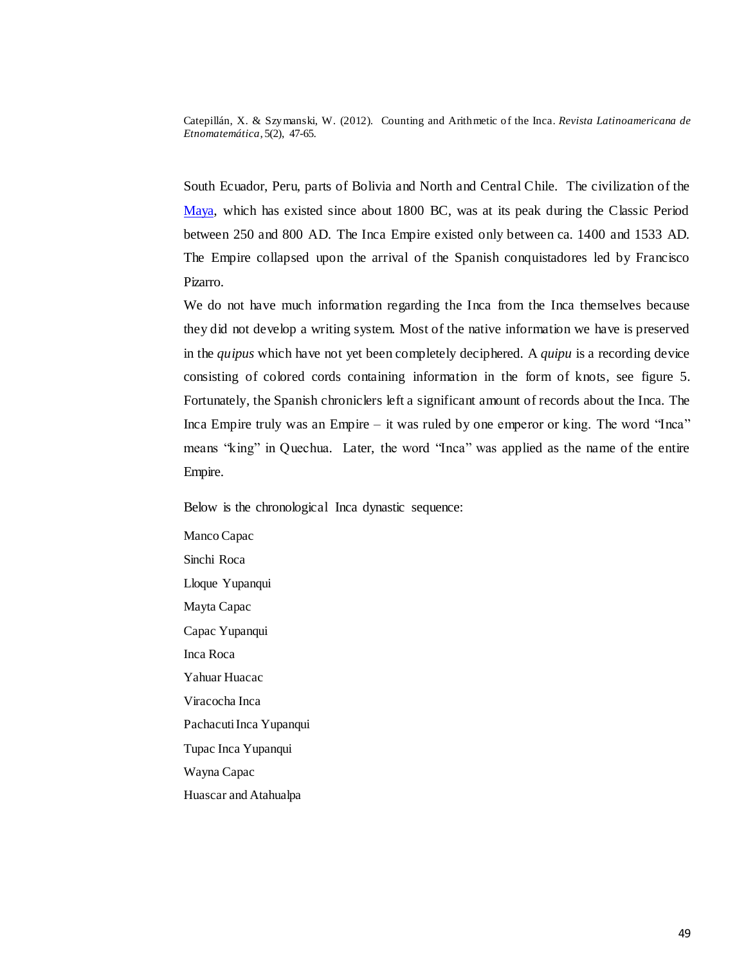South Ecuador, Peru, parts of Bolivia and North and Central Chile. The civilization of the Maya, which has existed since about 1800 BC, was at its peak during the Classic Period between 250 and 800 AD. The Inca Empire existed only between ca. 1400 and 1533 AD. The Empire collapsed upon the arrival of the Spanish conquistadores led by Francisco Pizarro.

We do not have much information regarding the Inca from the Inca themselves because they did not develop a writing system. Most of the native information we have is preserved in the *quipus* which have not yet been completely deciphered. A *quipu* is a recording device consisting of colored cords containing information in the form of knots, see figure 5. Fortunately, the Spanish chroniclers left a significant amount of records about the Inca. The Inca Empire truly was an Empire  $-$  it was ruled by one emperor or king. The word "Inca" means "king" in Quechua. Later, the word "Inca" was applied as the name of the entire Empire.

Below is the chronological Inca dynastic sequence:

Manco Capac Sinchi Roca Lloque Yupanqui Mayta Capac Capac Yupanqui Inca Roca Yahuar Huacac Viracocha Inca Pachacuti Inca Yupanqui Tupac Inca Yupanqui Wayna Capac Huascar and Atahualpa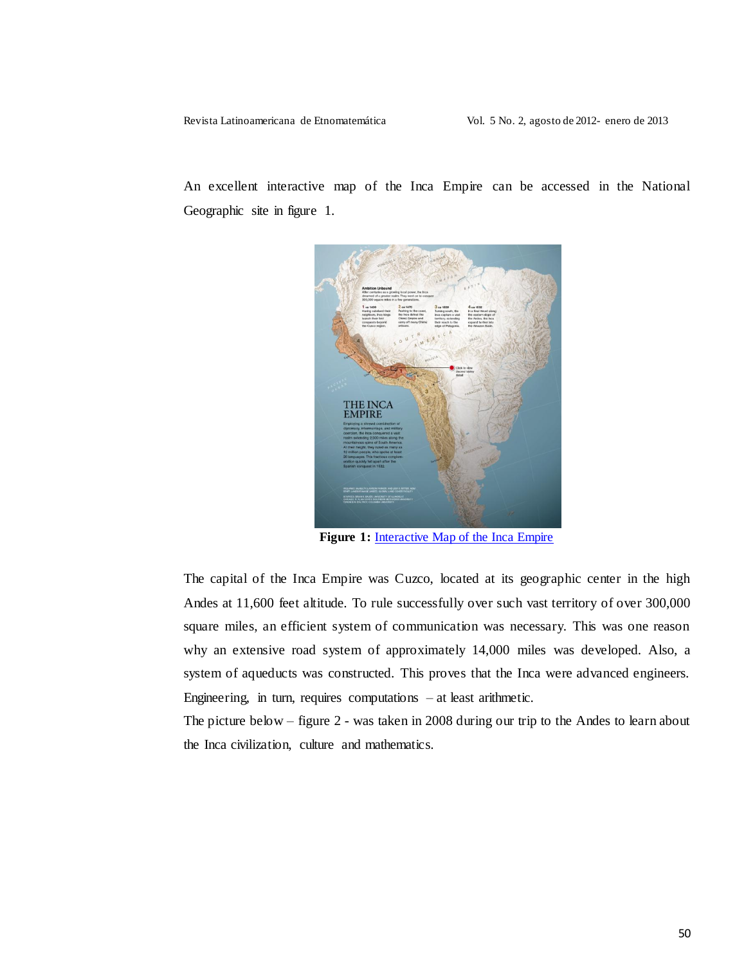Revista Latinoamericana de Etnomatemática

An excellent interactive map of the Inca Empire can be accessed in the National Geographic site in figure 1.



Figure 1: Interactive Map of the Inca Empire

The capital of the Inca Empire was Cuzco, located at its geographic center in the high Andes at 11,600 feet altitude. To rule successfully over such vast territory of over 300,000 square miles, an efficient system of communication was necessary. This was one reason why an extensive road system of approximately 14,000 miles was developed. Also, a system of aqueducts was constructed. This proves that the Inca were advanced engineers. Engineering, in turn, requires computations  $-$  at least arithmetic.

The picture below  $-$  figure 2 - was taken in 2008 during our trip to the Andes to learn about the Inca civilization, culture and mathematics.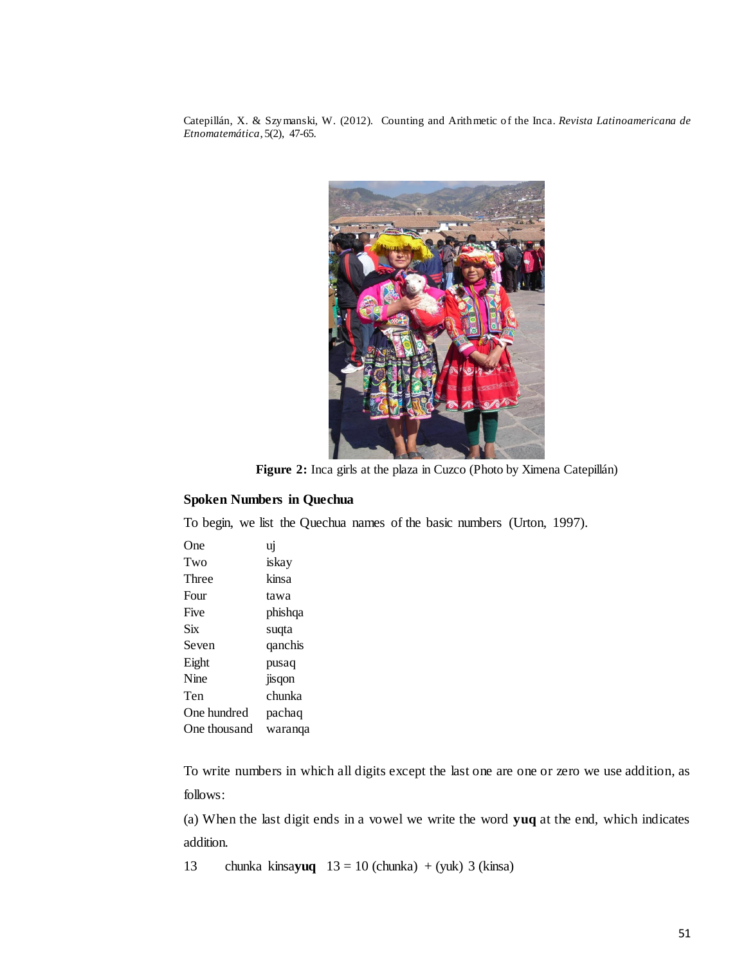

Figure 2: Inca girls at the plaza in Cuzco (Photo by Ximena Catepillán)

## **Spoken Numbers in Quechua**

To begin, we list the Quechua names of the basic numbers (Urton, 1997).

| One)         | ui      |
|--------------|---------|
| Two          | iskay   |
| Three        | kinsa   |
| Four         | tawa    |
| Five         | phishqa |
| Six          | suqta   |
| Seven        | qanchis |
| Eight        | pusaq   |
| Nine         | jisqon  |
| Ten          | chunka  |
| One hundred  | pachaq  |
| One thousand | waranqa |

To write numbers in which all digits except the last one are one or zero we use addition, as follows:

(a) When the last digit ends in a vowel we write the word yuq at the end, which indicates addition.

13 chunka kinsayuq  $13 = 10$  (chunka) + (yuk) 3 (kinsa)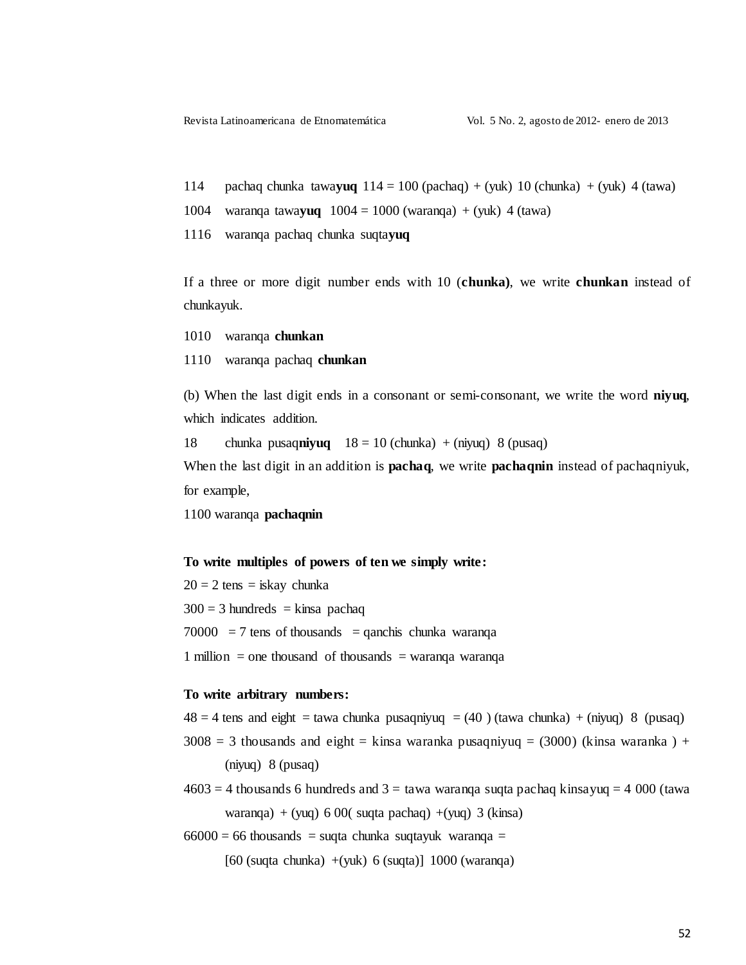114 pachaq chunka tawayuq  $114 = 100$  (pachaq) + (yuk)  $10$  (chunka) + (yuk) 4 (tawa)

1004 waranga tawayuq  $1004 = 1000$  (waranga) + (yuk) 4 (tawa)

1116 waranqa pachaq chunka suqtayuq

If a three or more digit number ends with 10 (chunka), we write chunkan instead of chunkayuk.

1010 waranga chunkan

1110 waranga pachaq chunkan

(b) When the last digit ends in a consonant or semi-consonant, we write the word niyuq, which indicates addition.

18 chunka pusaq**niyuq**  $18 = 10$  (chunka) + (niyuq) 8 (pusaq)

When the last digit in an addition is **pachaq**, we write **pachaquin** instead of pachaqniyuk, for example,

1100 waranqa pachaqnin

#### To write multiples of powers of ten we simply write:

 $20 = 2$  tens = iskay chunka  $300 = 3$  hundreds = kinsa pachaq  $70000 = 7$  tens of thousands = qanchis chunka waranga 1 million = one thousand of thousands = waranga waranga

#### To write arbitrary numbers:

 $48 = 4$  tens and eight = tawa chunka pusaqniyuq = (40) (tawa chunka) + (niyuq) 8 (pusaq)

 $3008 = 3$  thousands and eight = kinsa waranka pusagniyuq = (3000) (kinsa waranka) +  $(niyuq)$  8 (pusaq)

 $4603 = 4$  thousands 6 hundreds and 3 = tawa waranga sugta pachag kinsayuq = 4 000 (tawa waranga) + (yuq) 6 00( suqta pachaq) + (yuq) 3 (kinsa)

 $66000 = 66$  thousands = suqta chunka suqtayuk waranqa =

 $[60$  (suqta chunka)  $+(yuk)$  6 (suqta)] 1000 (waranga)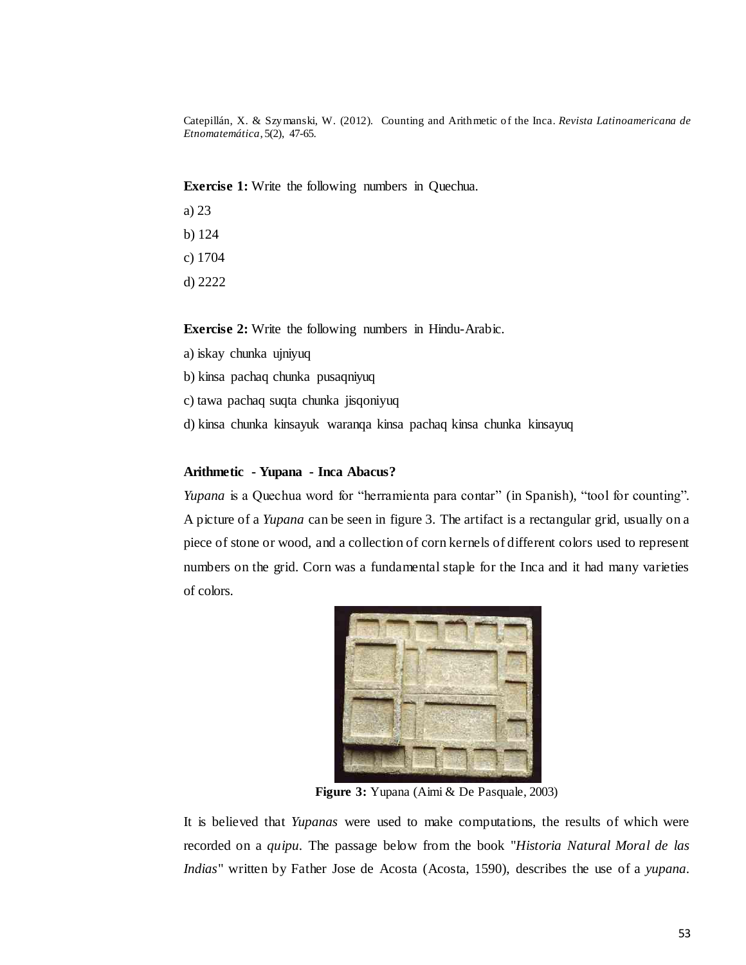**Exercise 1:** Write the following numbers in Quechua.

- a)  $23$
- b)  $124$
- c) 1704
- $d)$  2222

**Exercise 2:** Write the following numbers in Hindu-Arabic.

- a) iskay chunka ujniyuq
- b) kinsa pachaq chunka pusaqniyuq
- c) tawa pachaq suqta chunka jisqoniyuq
- d) kinsa chunka kinsayuk waranga kinsa pachaq kinsa chunka kinsayuq

#### Arithmetic - Yupana - Inca Abacus?

Yupana is a Quechua word for "herramienta para contar" (in Spanish), "tool for counting". A picture of a *Yupana* can be seen in figure 3. The artifact is a rectangular grid, usually on a piece of stone or wood, and a collection of corn kernels of different colors used to represent numbers on the grid. Corn was a fundamental staple for the Inca and it had many varieties of colors.



Figure 3: Yupana (Aimi & De Pasquale, 2003)

It is believed that Yupanas were used to make computations, the results of which were recorded on a *quipu*. The passage below from the book "Historia Natural Moral de las Indias" written by Father Jose de Acosta (Acosta, 1590), describes the use of a yupana.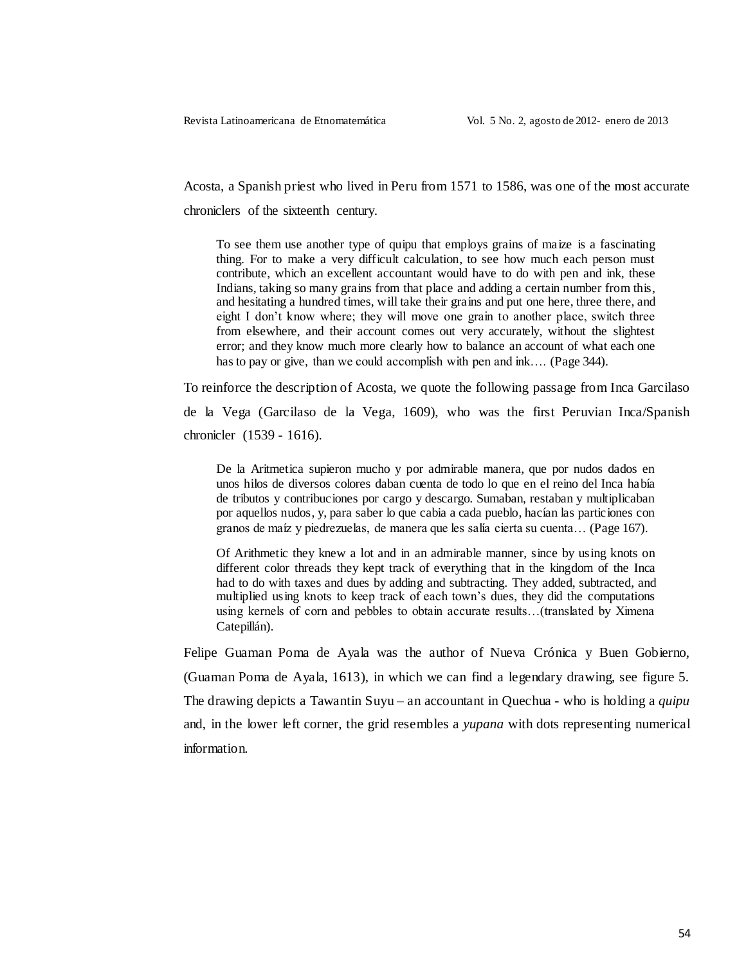Acosta, a Spanish priest who lived in Peru from 1571 to 1586, was one of the most accurate chroniclers of the sixteenth century.

To see them use another type of quipu that employs grains of maize is a fascinating thing. For to make a very difficult calculation, to see how much each person must contribute, which an excellent accountant would have to do with pen and ink, these Indians, taking so many grains from that place and adding a certain number from this, and hesitating a hundred times, will take their grains and put one here, three there, and eight I don't know where; they will move one grain to another place, switch three from elsewhere, and their account comes out very accurately, without the slightest error; and they know much more clearly how to balance an account of what each one has to pay or give, than we could accomplish with pen and ink.... (Page 344).

To reinforce the description of Acosta, we quote the following passage from Inca Garcilaso

de la Vega (Garcilaso de la Vega, 1609), who was the first Peruvian Inca/Spanish chronicler (1539 - 1616).

De la Aritmetica supieron mucho y por admirable manera, que por nudos dados en unos hilos de diversos colores daban cuenta de todo lo que en el reino del Inca había de tributos y contribuciones por cargo y descargo. Sumaban, restaban y multiplicaban por aquellos nudos, y, para saber lo que cabia a cada pueblo, hacían las particiones con granos de maíz y piedrezuelas, de manera que les salía cierta su cuenta... (Page 167).

Of Arithmetic they knew a lot and in an admirable manner, since by using knots on different color threads they kept track of everything that in the kingdom of the Inca had to do with taxes and dues by adding and subtracting. They added, subtracted, and multiplied using knots to keep track of each town's dues, they did the computations using kernels of corn and pebbles to obtain accurate results...(translated by Ximena Catepillán).

Felipe Guaman Poma de Ayala was the author of Nueva Crónica y Buen Gobierno, (Guaman Poma de Ayala, 1613), in which we can find a legendary drawing, see figure 5. The drawing depicts a Tawantin Suyu – an accountant in Quechua - who is holding a *quipu* and, in the lower left corner, the grid resembles a *yupana* with dots representing numerical information.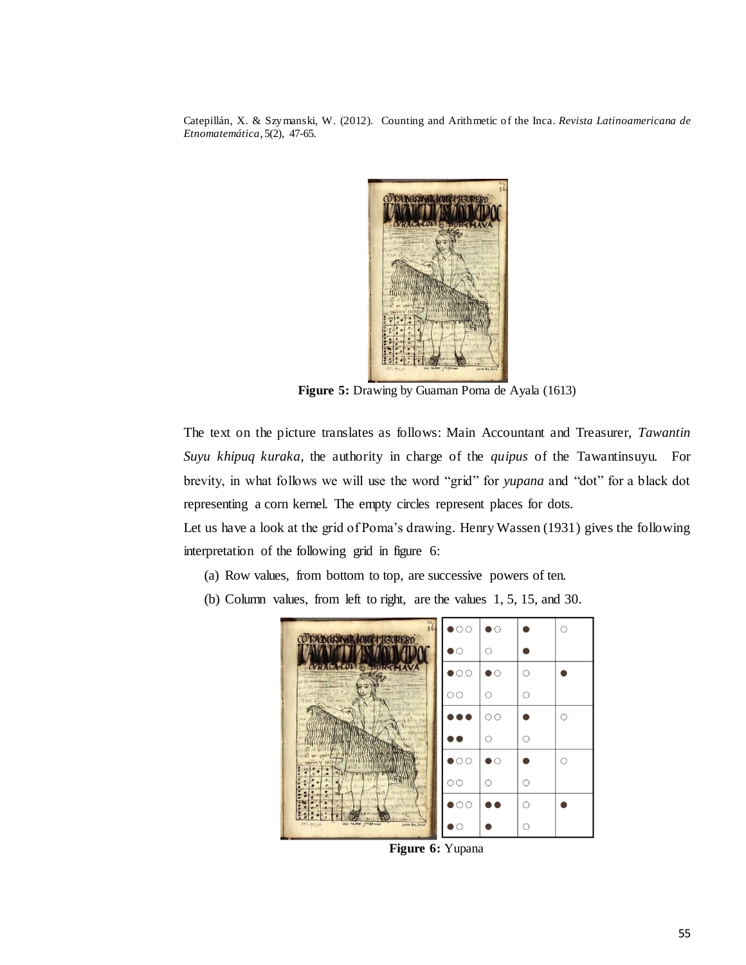

Figure 5: Drawing by Guaman Poma de Ayala (1613)

The text on the picture translates as follows: Main Accountant and Treasurer, Tawantin Suyu khipuq kuraka, the authority in charge of the quipus of the Tawantinsuyu. For brevity, in what follows we will use the word "grid" for *yupana* and "dot" for a black dot representing a corn kernel. The empty circles represent places for dots.

Let us have a look at the grid of Poma's drawing. Henry Wassen (1931) gives the following interpretation of the following grid in figure 6:

- (a) Row values, from bottom to top, are successive powers of ten.
- (b) Column values, from left to right, are the values  $1, 5, 15$ , and  $30$ .



Figure 6: Yupana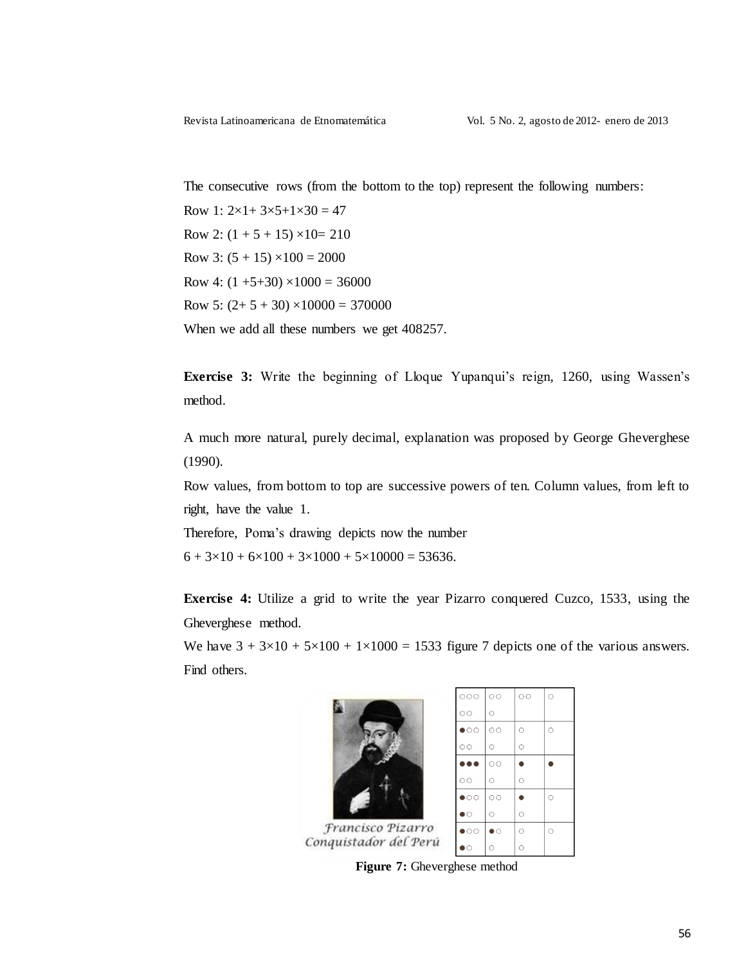The consecutive rows (from the bottom to the top) represent the following numbers:

Row 1:  $2 \times 1 + 3 \times 5 + 1 \times 30 = 47$ Row 2:  $(1 + 5 + 15) \times 10 = 210$ Row 3:  $(5 + 15) \times 100 = 2000$ Row 4:  $(1 +5+30) \times 1000 = 36000$ Row 5:  $(2+5+30) \times 10000 = 370000$ When we add all these numbers we get 408257.

**Exercise 3:** Write the beginning of Lloque Yupanqui's reign, 1260, using Wassen's method.

A much more natural, purely decimal, explanation was proposed by George Gheverghese  $(1990).$ 

Row values, from bottom to top are successive powers of ten. Column values, from left to right, have the value 1.

Therefore, Poma's drawing depicts now the number

 $6 + 3 \times 10 + 6 \times 100 + 3 \times 1000 + 5 \times 10000 = 53636.$ 

**Exercise 4:** Utilize a grid to write the year Pizarro conquered Cuzco, 1533, using the Gheverghese method.

We have  $3 + 3 \times 10 + 5 \times 100 + 1 \times 1000 = 1533$  figure 7 depicts one of the various answers. Find others.



Figure 7: Gheverghese method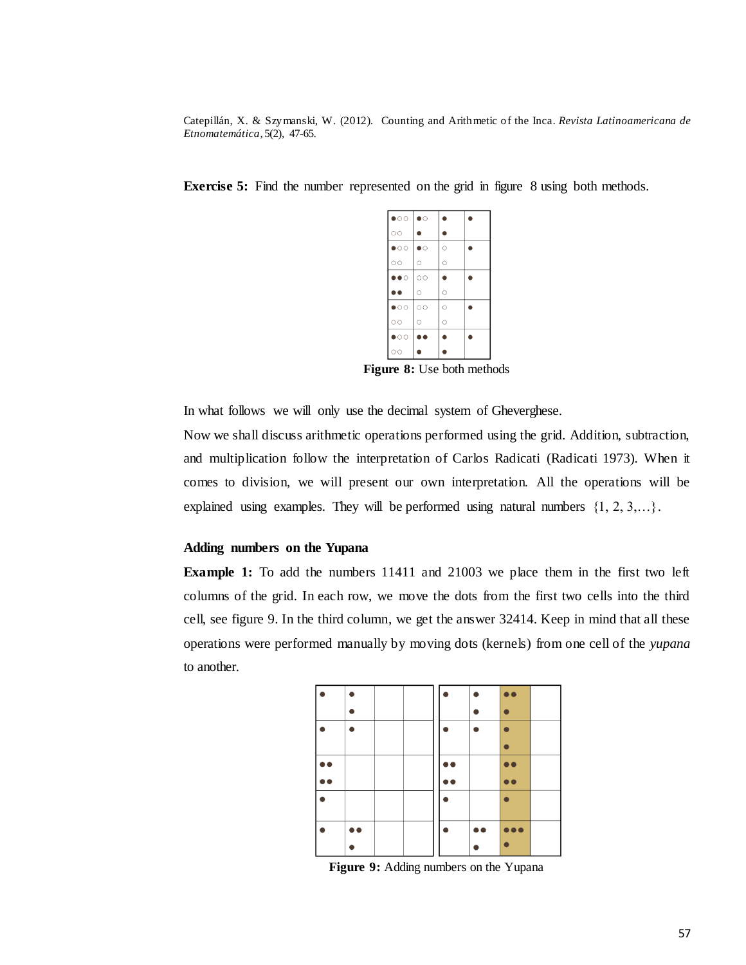| $\bullet$ oo $ \bullet\circ$ |           |           |  |
|------------------------------|-----------|-----------|--|
| $\circ$                      |           |           |  |
| $\bullet$ 00                 | $\bullet$ | $\circ$   |  |
| $\circ$                      | $\circ$   | $\circ$   |  |
| $\bullet\bullet\circ$        | $\circ$   | $\bullet$ |  |
| $\bullet\bullet$             | $\circ$   | $\circ$   |  |
| $\bullet$ 00                 | $\circ$   | $\circ$   |  |
| $\circ$                      |           |           |  |
|                              | $\circ$   | Ō         |  |
| $\bullet$                    | $\bullet$ | n         |  |

**Exercise 5:** Find the number represented on the grid in figure 8 using both methods.

Figure 8: Use both methods

In what follows we will only use the decimal system of Gheverghese.

Now we shall discuss arithmetic operations performed using the grid. Addition, subtraction, and multiplication follow the interpretation of Carlos Radicati (Radicati 1973). When it comes to division, we will present our own interpretation. All the operations will be explained using examples. They will be performed using natural numbers  $\{1, 2, 3, \ldots\}$ .

#### Adding numbers on the Yupana

**Example 1:** To add the numbers 11411 and 21003 we place them in the first two left columns of the grid. In each row, we move the dots from the first two cells into the third cell, see figure 9. In the third column, we get the answer 32414. Keep in mind that all these operations were performed manually by moving dots (kernels) from one cell of the yupana to another

| b e |           |  | h A |           | . .                     |  |
|-----|-----------|--|-----|-----------|-------------------------|--|
| I C |           |  |     |           |                         |  |
|     |           |  |     |           |                         |  |
|     |           |  |     |           |                         |  |
|     | $\bullet$ |  |     | $\bullet$ | $\bullet\bullet\bullet$ |  |
|     |           |  |     |           |                         |  |

Figure 9: Adding numbers on the Yupana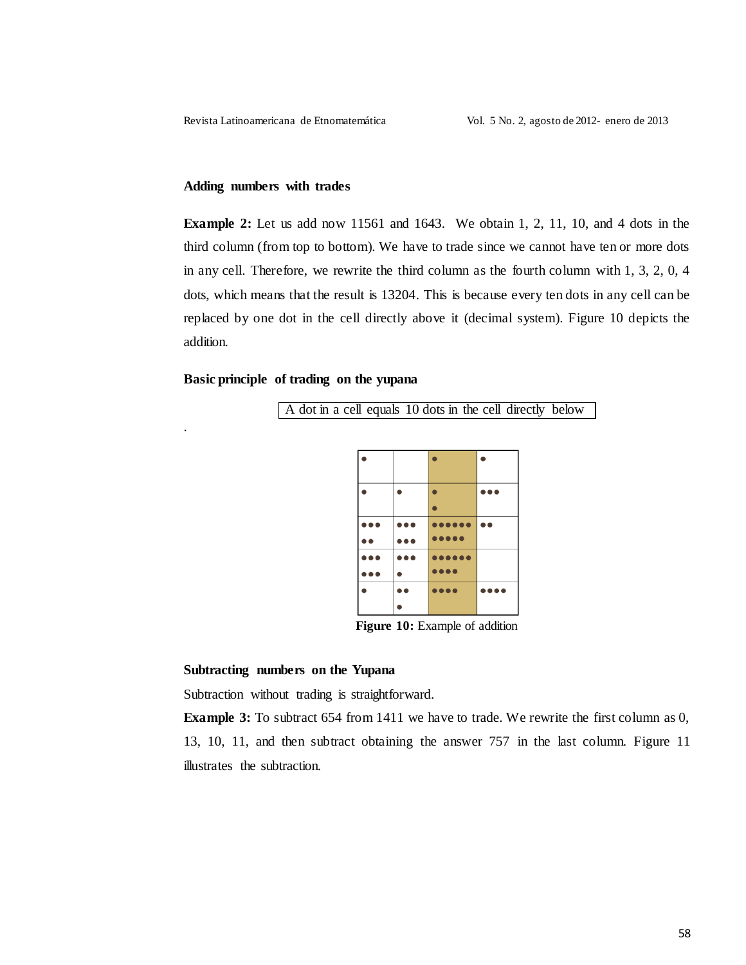### Adding numbers with trades

**Example 2:** Let us add now 11561 and 1643. We obtain 1, 2, 11, 10, and 4 dots in the third column (from top to bottom). We have to trade since we cannot have ten or more dots in any cell. Therefore, we rewrite the third column as the fourth column with  $1, 3, 2, 0, 4$ dots, which means that the result is 13204. This is because every ten dots in any cell can be replaced by one dot in the cell directly above it (decimal system). Figure 10 depicts the addition.

#### Basic principle of trading on the yupana

A dot in a cell equals 10 dots in the cell directly below



Figure 10: Example of addition

#### Subtracting numbers on the Yupana

Subtraction without trading is straightforward.

**Example 3:** To subtract 654 from 1411 we have to trade. We rewrite the first column as 0, 13, 10, 11, and then subtract obtaining the answer 757 in the last column. Figure 11 illustrates the subtraction.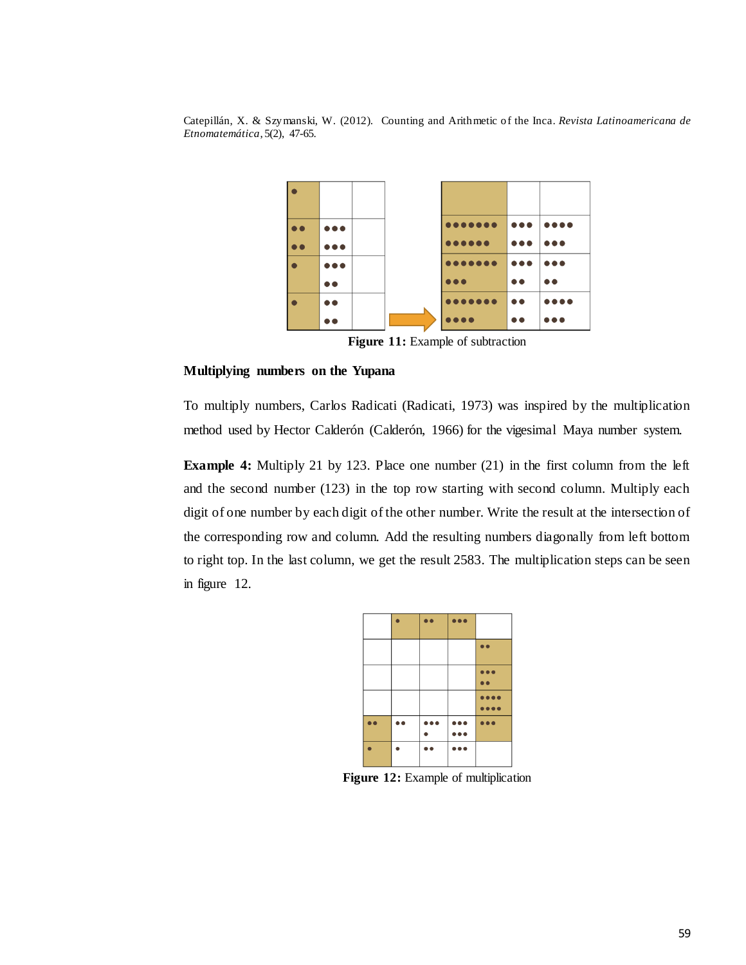

Figure 11: Example of subtraction

#### Multiplying numbers on the Yupana

To multiply numbers, Carlos Radicati (Radicati, 1973) was inspired by the multiplication method used by Hector Calderón (Calderón, 1966) for the vigesimal Maya number system.

**Example 4:** Multiply 21 by 123. Place one number  $(21)$  in the first column from the left and the second number (123) in the top row starting with second column. Multiply each digit of one number by each digit of the other number. Write the result at the intersection of the corresponding row and column. Add the resulting numbers diagonally from left bottom to right top. In the last column, we get the result 2583. The multiplication steps can be seen in figure 12.



Figure 12: Example of multiplication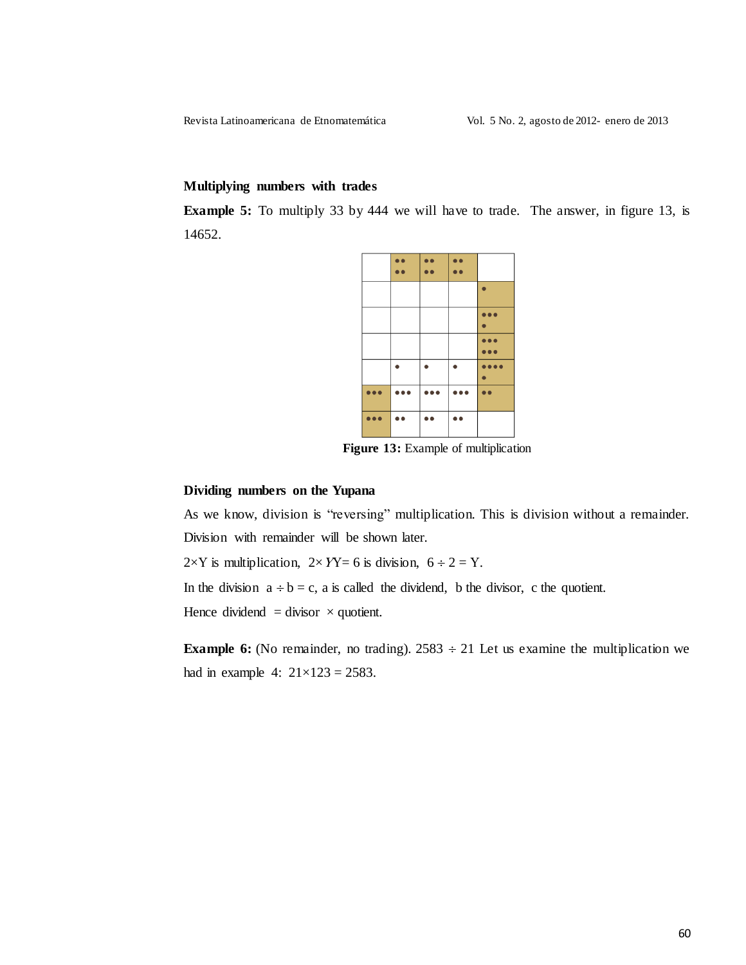Revista Latinoamericana de Etnomatemática

#### Multiplying numbers with trades

**Example 5:** To multiply 33 by 444 we will have to trade. The answer, in figure 13, is 14652.



Figure 13: Example of multiplication

#### Dividing numbers on the Yupana

As we know, division is "reversing" multiplication. This is division without a remainder. Division with remainder will be shown later.

 $2\times Y$  is multiplication,  $2\times YY = 6$  is division,  $6 \div 2 = Y$ .

In the division  $a \div b = c$ , a is called the dividend, b the divisor, c the quotient.

Hence dividend = divisor  $\times$  quotient.

**Example 6:** (No remainder, no trading).  $2583 \div 21$  Let us examine the multiplication we had in example 4:  $21 \times 123 = 2583$ .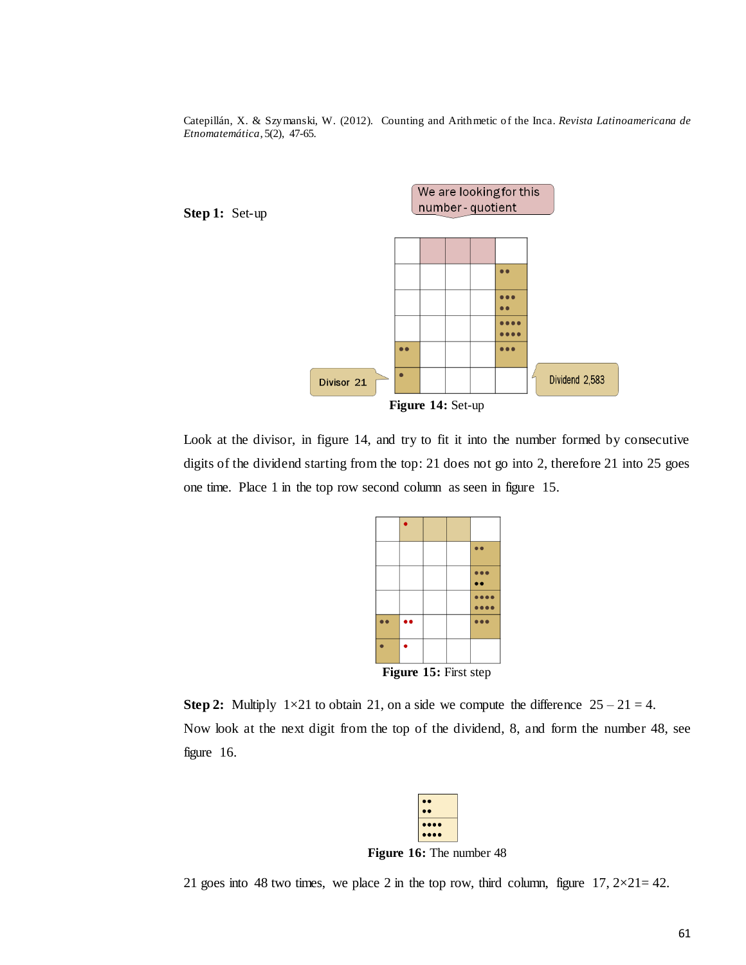

Look at the divisor, in figure 14, and try to fit it into the number formed by consecutive digits of the dividend starting from the top: 21 does not go into 2, therefore 21 into 25 goes one time. Place 1 in the top row second column as seen in figure 15.



**Step 2:** Multiply  $1 \times 21$  to obtain 21, on a side we compute the difference  $25 - 21 = 4$ . Now look at the next digit from the top of the dividend, 8, and form the number 48, see figure  $16$ .



Figure 16: The number 48

21 goes into 48 two times, we place 2 in the top row, third column, figure  $17, 2 \times 21 = 42$ .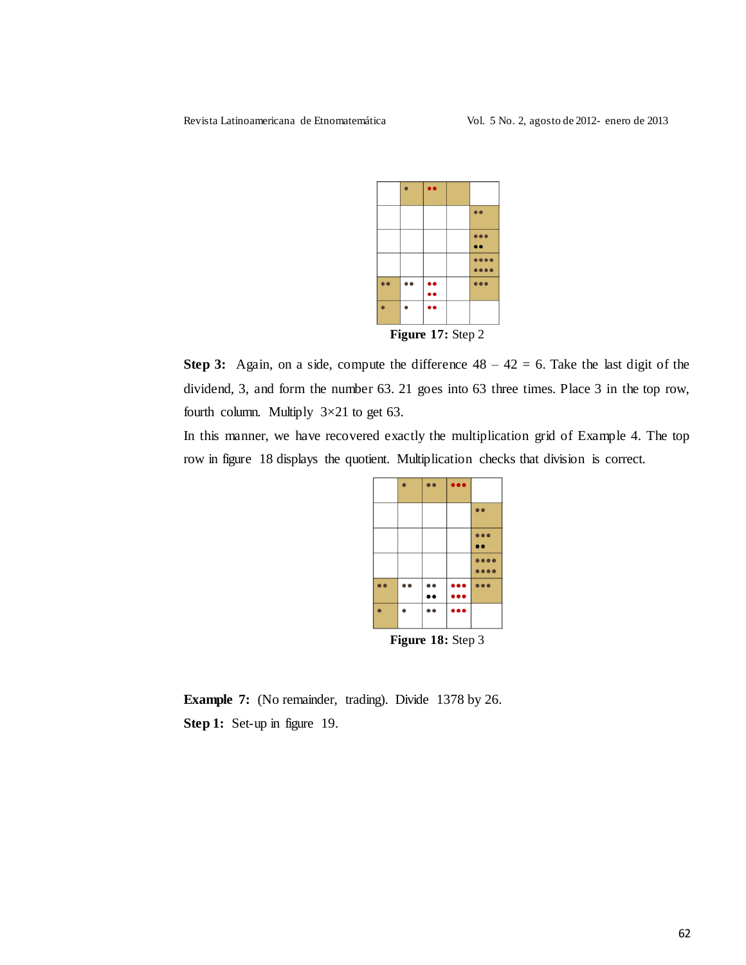

Step 3: Again, on a side, compute the difference  $48 - 42 = 6$ . Take the last digit of the dividend, 3, and form the number 63. 21 goes into 63 three times. Place 3 in the top row, fourth column. Multiply  $3 \times 21$  to get 63.

In this manner, we have recovered exactly the multiplication grid of Example 4. The top row in figure 18 displays the quotient. Multiplication checks that division is correct.



**Example 7:** (No remainder, trading). Divide 1378 by 26. Step 1: Set-up in figure 19.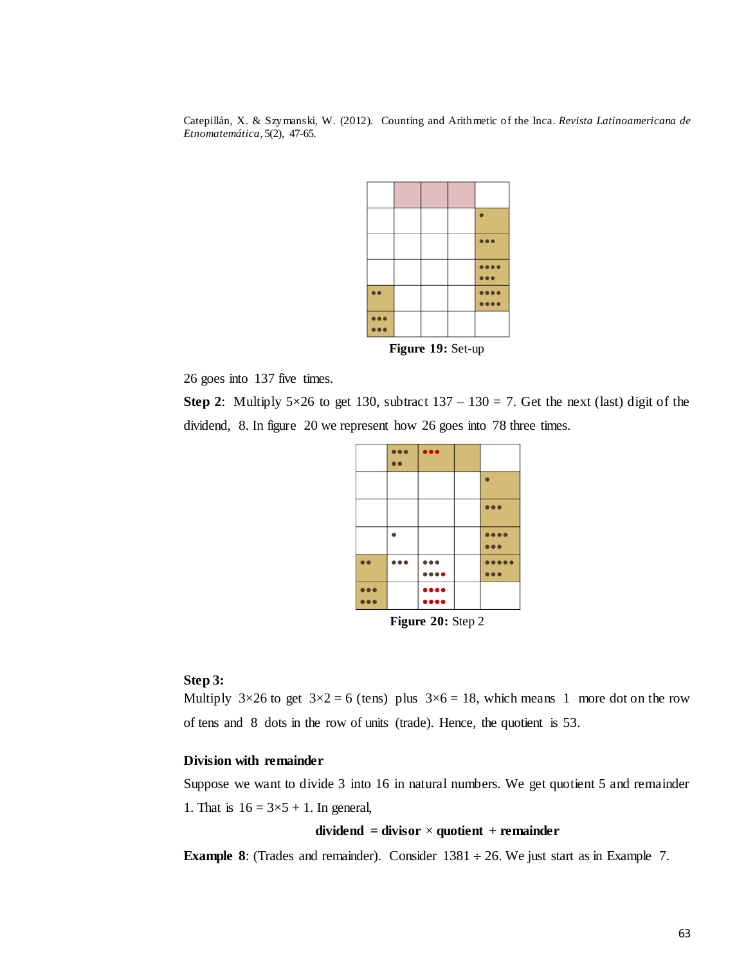

Figure 19: Set-up

26 goes into 137 five times.

Step 2: Multiply 5×26 to get 130, subtract  $137 - 130 = 7$ . Get the next (last) digit of the dividend, 8. In figure 20 we represent how 26 goes into 78 three times.

|                           | i o o | $\bullet$                      |  |                                |
|---------------------------|-------|--------------------------------|--|--------------------------------|
|                           |       |                                |  |                                |
|                           |       |                                |  |                                |
|                           |       |                                |  | $\bullet\bullet\bullet$        |
|                           |       |                                |  | $\bullet\bullet\bullet\bullet$ |
|                           |       |                                |  | $\bullet$                      |
|                           |       |                                |  |                                |
|                           |       | $\bullet\bullet\bullet$        |  |                                |
|                           |       | $\bullet\bullet\bullet\bullet$ |  |                                |
|                           |       | $\bullet\bullet\bullet\bullet$ |  |                                |
| $\Gamma$ iauro 20. Stan 2 |       |                                |  |                                |

**Figure 20:** Step  $2$ 

### Step 3:

Multiply  $3\times26$  to get  $3\times2 = 6$  (tens) plus  $3\times6 = 18$ , which means 1 more dot on the row of tens and 8 dots in the row of units (trade). Hence, the quotient is 53.

#### Division with remainder

Suppose we want to divide 3 into 16 in natural numbers. We get quotient 5 and remainder 1. That is  $16 = 3 \times 5 + 1$ . In general,

## dividend = divisor  $\times$  quotient + remainder

**Example 8:** (Trades and remainder). Consider  $1381 \div 26$ . We just start as in Example 7.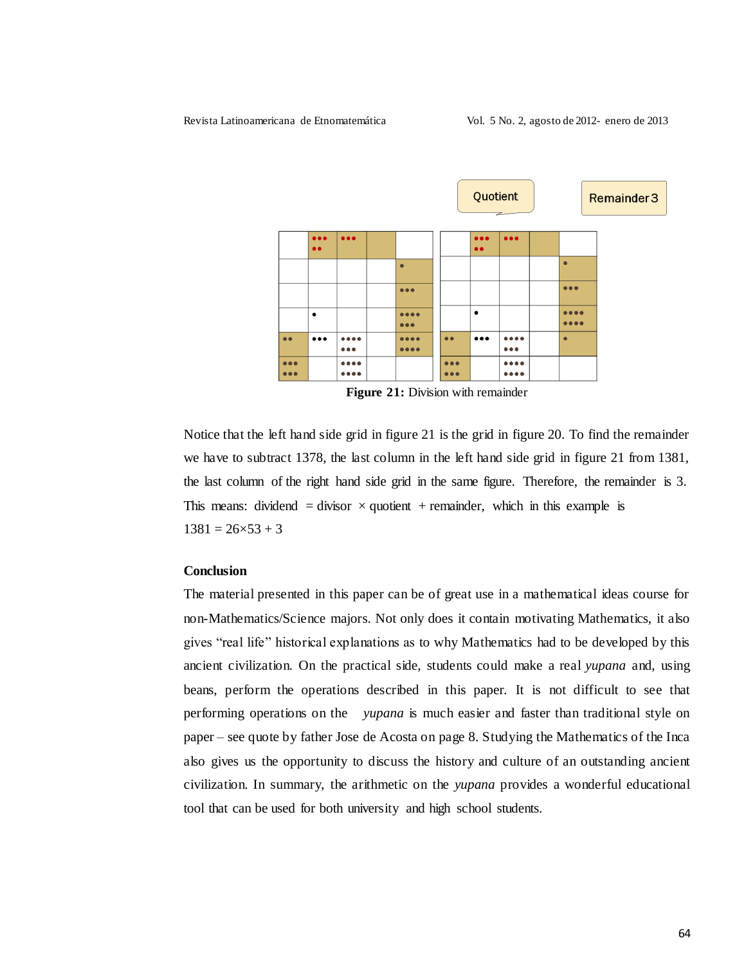

Figure 21: Division with remainder

Notice that the left hand side grid in figure 21 is the grid in figure 20. To find the remainder we have to subtract 1378, the last column in the left hand side grid in figure 21 from 1381, the last column of the right hand side grid in the same figure. Therefore, the remainder is 3. This means: dividend = divisor  $\times$  quotient + remainder, which in this example is  $1381 = 26 \times 53 + 3$ 

### **Conclusion**

The material presented in this paper can be of great use in a mathematical ideas course for non-Mathematics/Science majors. Not only does it contain motivating Mathematics, it also gives "real life" historical explanations as to why Mathematics had to be developed by this ancient civilization. On the practical side, students could make a real *yupana* and, using beans, perform the operations described in this paper. It is not difficult to see that performing operations on the *yupana* is much easier and faster than traditional style on paper – see quote by father Jose de Acosta on page 8. Studying the Mathematics of the Inca also gives us the opportunity to discuss the history and culture of an outstanding ancient civilization. In summary, the arithmetic on the *yupana* provides a wonderful educational tool that can be used for both university and high school students.